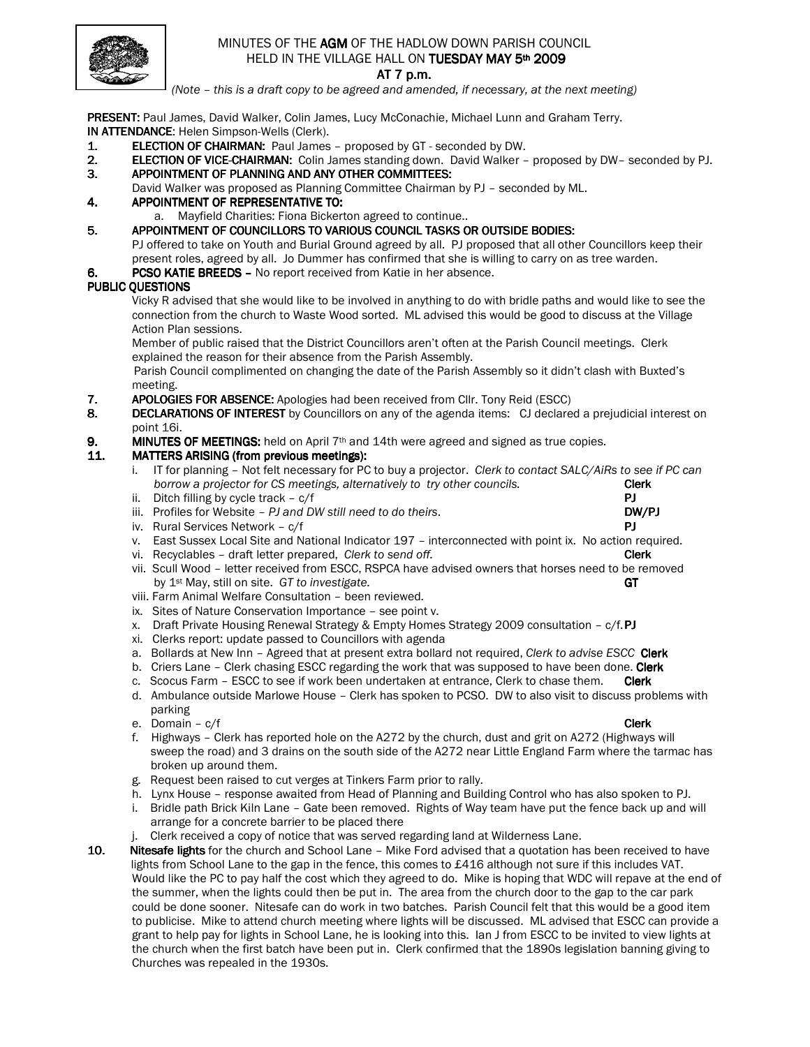

# MINUTES OF THE AGM OF THE HADLOW DOWN PARISH COUNCIL HELD IN THE VILLAGE HALL ON TUESDAY MAY 5th 2009

#### AT 7 p.m.

(Note – this is a draft copy to be agreed and amended, if necessary, at the next meeting)

PRESENT: Paul James, David Walker, Colin James, Lucy McConachie, Michael Lunn and Graham Terry. IN ATTENDANCE: Helen Simpson-Wells (Clerk).

- 1. ELECTION OF CHAIRMAN: Paul James proposed by GT seconded by DW.
- 2. ELECTION OF VICE-CHAIRMAN: Colin James standing down. David Walker proposed by DW– seconded by PJ.
- 3. APPOINTMENT OF PLANNING AND ANY OTHER COMMITTEES:
- David Walker was proposed as Planning Committee Chairman by PJ seconded by ML.

## 4. APPOINTMENT OF REPRESENTATIVE TO:

- a. Mayfield Charities: Fiona Bickerton agreed to continue..
- 5. APPOINTMENT OF COUNCILLORS TO VARIOUS COUNCIL TASKS OR OUTSIDE BODIES: PJ offered to take on Youth and Burial Ground agreed by all. PJ proposed that all other Councillors keep their present roles, agreed by all. Jo Dummer has confirmed that she is willing to carry on as tree warden.
- 6. PCSO KATIE BREEDS No report received from Katie in her absence.

## PUBLIC OUESTIONS

 Vicky R advised that she would like to be involved in anything to do with bridle paths and would like to see the connection from the church to Waste Wood sorted. ML advised this would be good to discuss at the Village Action Plan sessions.

 Member of public raised that the District Councillors aren't often at the Parish Council meetings. Clerk explained the reason for their absence from the Parish Assembly.

Parish Council complimented on changing the date of the Parish Assembly so it didn't clash with Buxted's

- meeting.<br>**7.** APOLOGI APOLOGIES FOR ABSENCE: Apologies had been received from Cllr. Tony Reid (ESCC)
- 8. DECLARATIONS OF INTEREST by Councillors on any of the agenda items: CJ declared a prejudicial interest on point 16i.
- 9. MINUTES OF MEETINGS: held on April  $7<sup>th</sup>$  and 14th were agreed and signed as true copies.

## 11. MATTERS ARISING (from previous meetings):

- i. IT for planning Not felt necessary for PC to buy a projector. Clerk to contact SALC/AiRs to see if PC can borrow a projector for CS meetings, alternatively to try other councils. Clerk
- ii. Ditch filling by cycle track c/f PJ
- iii. Profiles for Website  $PI$  and DW still need to do theirs.  $DW/PI$
- iv. Rural Services Network c/f PJ
- v. East Sussex Local Site and National Indicator 197 interconnected with point ix. No action required.
- vi. Recyclables draft letter prepared, Clerk to send off. Clerk Clerk Clerk
- vii. Scull Wood letter received from ESCC, RSPCA have advised owners that horses need to be removed by  $1^{st}$  May, still on site. GT to investigate.  $G$  and  $G$  and  $G$  and  $G$  and  $G$  and  $G$  and  $G$  and  $G$  and  $G$  and  $G$  and  $G$  and  $G$  and  $G$  and  $G$  and  $G$  and  $G$  and  $G$  and  $G$  and  $G$  and  $G$  and  $G$  and  $G$
- viii. Farm Animal Welfare Consultation been reviewed.
- ix. Sites of Nature Conservation Importance see point v.
- x. Draft Private Housing Renewal Strategy & Empty Homes Strategy 2009 consultation c/f. PJ
- xi. Clerks report: update passed to Councillors with agenda
- a. Bollards at New Inn Agreed that at present extra bollard not required, Clerk to advise ESCC Clerk
- b. Criers Lane Clerk chasing ESCC regarding the work that was supposed to have been done. Clerk
- c. Scocus Farm ESCC to see if work been undertaken at entrance, Clerk to chase them. Clerk
- d. Ambulance outside Marlowe House Clerk has spoken to PCSO. DW to also visit to discuss problems with parking
- e. Domain c/f Clerk Communication of the Clerk Clerk Clerk Clerk Clerk Clerk
- f. Highways Clerk has reported hole on the A272 by the church, dust and grit on A272 (Highways will sweep the road) and 3 drains on the south side of the A272 near Little England Farm where the tarmac has broken up around them.
- g. Request been raised to cut verges at Tinkers Farm prior to rally.
- h. Lynx House response awaited from Head of Planning and Building Control who has also spoken to PJ.
- i. Bridle path Brick Kiln Lane Gate been removed. Rights of Way team have put the fence back up and will arrange for a concrete barrier to be placed there
- Clerk received a copy of notice that was served regarding land at Wilderness Lane.
- 10. Nitesafe lights for the church and School Lane Mike Ford advised that a quotation has been received to have lights from School Lane to the gap in the fence, this comes to £416 although not sure if this includes VAT. Would like the PC to pay half the cost which they agreed to do. Mike is hoping that WDC will repave at the end of the summer, when the lights could then be put in. The area from the church door to the gap to the car park could be done sooner. Nitesafe can do work in two batches. Parish Council felt that this would be a good item to publicise. Mike to attend church meeting where lights will be discussed. ML advised that ESCC can provide a grant to help pay for lights in School Lane, he is looking into this. Ian J from ESCC to be invited to view lights at the church when the first batch have been put in. Clerk confirmed that the 1890s legislation banning giving to Churches was repealed in the 1930s.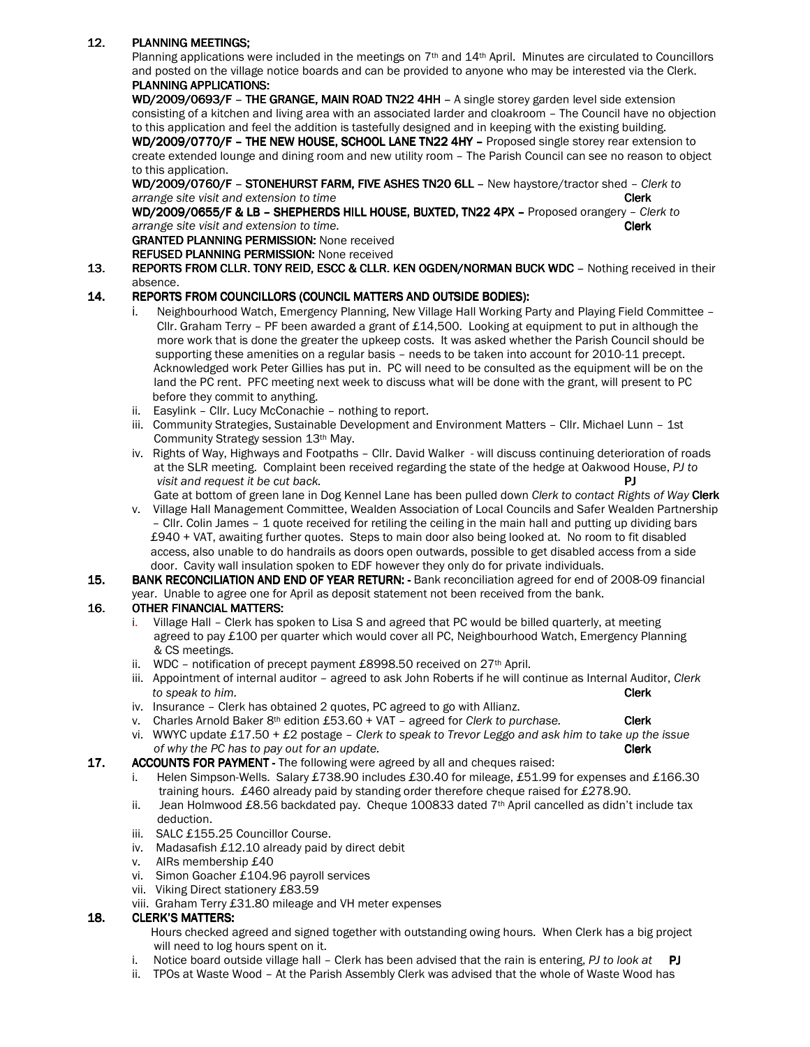## 12. PLANNING MEETINGS;

Planning applications were included in the meetings on 7<sup>th</sup> and 14<sup>th</sup> April. Minutes are circulated to Councillors and posted on the village notice boards and can be provided to anyone who may be interested via the Clerk. PLANNING APPLICATIONS:

WD/2009/0693/F - THE GRANGE, MAIN ROAD TN22 4HH - A single storey garden level side extension consisting of a kitchen and living area with an associated larder and cloakroom – The Council have no objection to this application and feel the addition is tastefully designed and in keeping with the existing building. WD/2009/0770/F - THE NEW HOUSE, SCHOOL LANE TN22 4HY - Proposed single storey rear extension to create extended lounge and dining room and new utility room – The Parish Council can see no reason to object to this application.

WD/2009/0760/F - STONEHURST FARM, FIVE ASHES TN20 6LL - New haystore/tractor shed - Clerk to arrange site visit and extension to time Clerk and the Clerk control of the Clerk control of the Clerk

WD/2009/0655/F & LB - SHEPHERDS HILL HOUSE, BUXTED, TN22 4PX - Proposed orangery - Clerk to arrange site visit and extension to time. **Clerk** and the set of the set of the set of the set of the set of the set of the set of the set of the set of the set of the set of the set of the set of the set of the set of the

GRANTED PLANNING PERMISSION: None received

REFUSED PLANNING PERMISSION: None received

13. REPORTS FROM CLLR. TONY REID, ESCC & CLLR. KEN OGDEN/NORMAN BUCK WDC - Nothing received in their absence.

## 14. REPORTS FROM COUNCILLORS (COUNCIL MATTERS AND OUTSIDE BODIES):

- i. Neighbourhood Watch, Emergency Planning, New Village Hall Working Party and Playing Field Committee Cllr. Graham Terry - PF been awarded a grant of  $£14,500$ . Looking at equipment to put in although the more work that is done the greater the upkeep costs. It was asked whether the Parish Council should be supporting these amenities on a regular basis – needs to be taken into account for 2010-11 precept. Acknowledged work Peter Gillies has put in. PC will need to be consulted as the equipment will be on the land the PC rent. PFC meeting next week to discuss what will be done with the grant, will present to PC before they commit to anything.
- ii. Easylink Cllr. Lucy McConachie nothing to report.
- iii. Community Strategies, Sustainable Development and Environment Matters Cllr. Michael Lunn 1st Community Strategy session 13<sup>th</sup> May.
- iv. Rights of Way, Highways and Footpaths Cllr. David Walker will discuss continuing deterioration of roads at the SLR meeting. Complaint been received regarding the state of the hedge at Oakwood House, PJ to visit and request it be cut back. **PJ**  $\blacksquare$

Gate at bottom of green lane in Dog Kennel Lane has been pulled down Clerk to contact Rights of Way Clerk

 v. Village Hall Management Committee, Wealden Association of Local Councils and Safer Wealden Partnership – Cllr. Colin James – 1 quote received for retiling the ceiling in the main hall and putting up dividing bars £940 + VAT, awaiting further quotes. Steps to main door also being looked at. No room to fit disabled access, also unable to do handrails as doors open outwards, possible to get disabled access from a side door. Cavity wall insulation spoken to EDF however they only do for private individuals.

#### 15. BANK RECONCILIATION AND END OF YEAR RETURN: - Bank reconciliation agreed for end of 2008-09 financial year. Unable to agree one for April as deposit statement not been received from the bank.

## 16. OTHER FINANCIAL MATTERS:

- i. Village Hall Clerk has spoken to Lisa S and agreed that PC would be billed quarterly, at meeting agreed to pay £100 per quarter which would cover all PC, Neighbourhood Watch, Emergency Planning & CS meetings.
- ii. WDC notification of precept payment  $£8998.50$  received on  $27<sup>th</sup>$  April.
- iii. Appointment of internal auditor agreed to ask John Roberts if he will continue as Internal Auditor, Clerk to speak to him. **Clerk**
- iv. Insurance Clerk has obtained 2 quotes, PC agreed to go with Allianz.
- v. Charles Arnold Baker 8<sup>th</sup> edition £53.60 + VAT agreed for Clerk to purchase. **Clerk**
- vi. WWYC update £17.50 + £2 postage Clerk to speak to Trevor Leggo and ask him to take up the issue of why the PC has to pay out for an update. The contract of the clerk clerk
- 17. ACCOUNTS FOR PAYMENT The following were agreed by all and cheques raised:
	- i. Helen Simpson-Wells. Salary £738.90 includes £30.40 for mileage, £51.99 for expenses and £166.30 training hours. £460 already paid by standing order therefore cheque raised for £278.90.
	- ii. Jean Holmwood £8.56 backdated pay. Cheque 100833 dated 7<sup>th</sup> April cancelled as didn't include tax deduction.
	- iii. SALC £155.25 Councillor Course.
	- iv. Madasafish £12.10 already paid by direct debit
	- v. AIRs membership £40
	- vi. Simon Goacher £104.96 payroll services
	- vii. Viking Direct stationery £83.59
	- viii. Graham Terry £31.80 mileage and VH meter expenses

## 18. CLERK'S MATTERS:

- Hours checked agreed and signed together with outstanding owing hours. When Clerk has a big project will need to log hours spent on it.
- i. Notice board outside village hall  $-$  Clerk has been advised that the rain is entering, PJ to look at  $-$  PJ
- ii. TPOs at Waste Wood At the Parish Assembly Clerk was advised that the whole of Waste Wood has